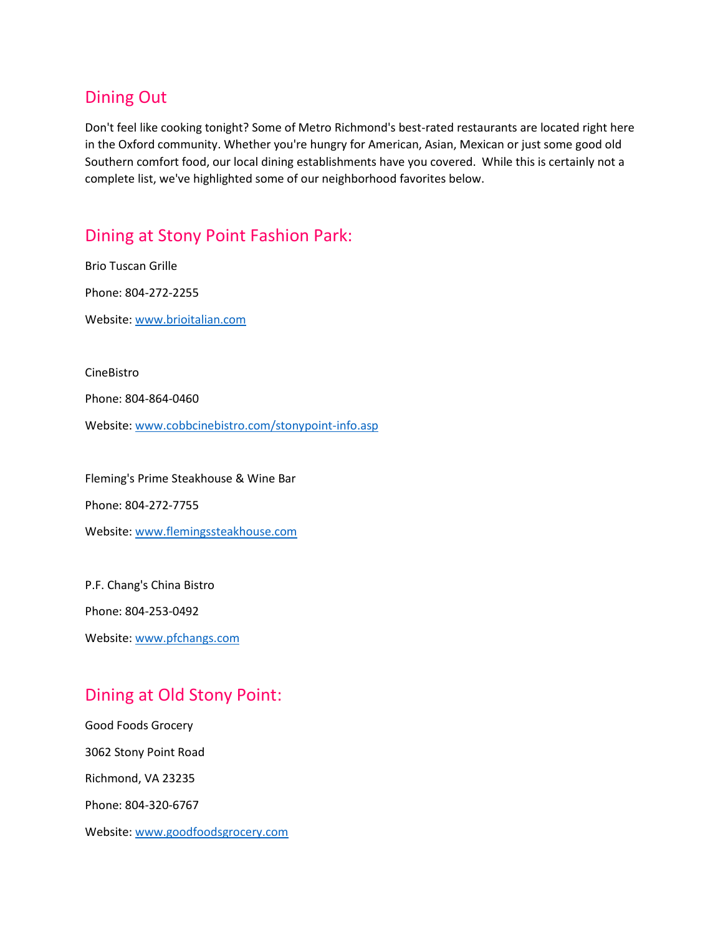## Dining Out

Don't feel like cooking tonight? Some of Metro Richmond's best-rated restaurants are located right here in the Oxford community. Whether you're hungry for American, Asian, Mexican or just some good old Southern comfort food, our local dining establishments have you covered. While this is certainly not a complete list, we've highlighted some of our neighborhood favorites below.

## Dining at Stony Point Fashion Park:

Brio Tuscan Grille Phone: 804-272-2255 Website[: www.brioitalian.com](http://www.brioitalian.com/)

CineBistro

Phone: 804-864-0460

Website[: www.cobbcinebistro.com/stonypoint-info.asp](http://www.cobbcinebistro.com/stonypoint-info.asp)

Fleming's Prime Steakhouse & Wine Bar Phone: 804-272-7755 Website[: www.flemingssteakhouse.com](http://www.flemingssteakhouse.com/)

P.F. Chang's China Bistro Phone: 804-253-0492 Website[: www.pfchangs.com](http://www.pfchangs.com/)

# Dining at Old Stony Point:

Good Foods Grocery 3062 Stony Point Road Richmond, VA 23235 Phone: 804-320-6767 Website[: www.goodfoodsgrocery.com](http://www.goodfoodsgrocery.com/)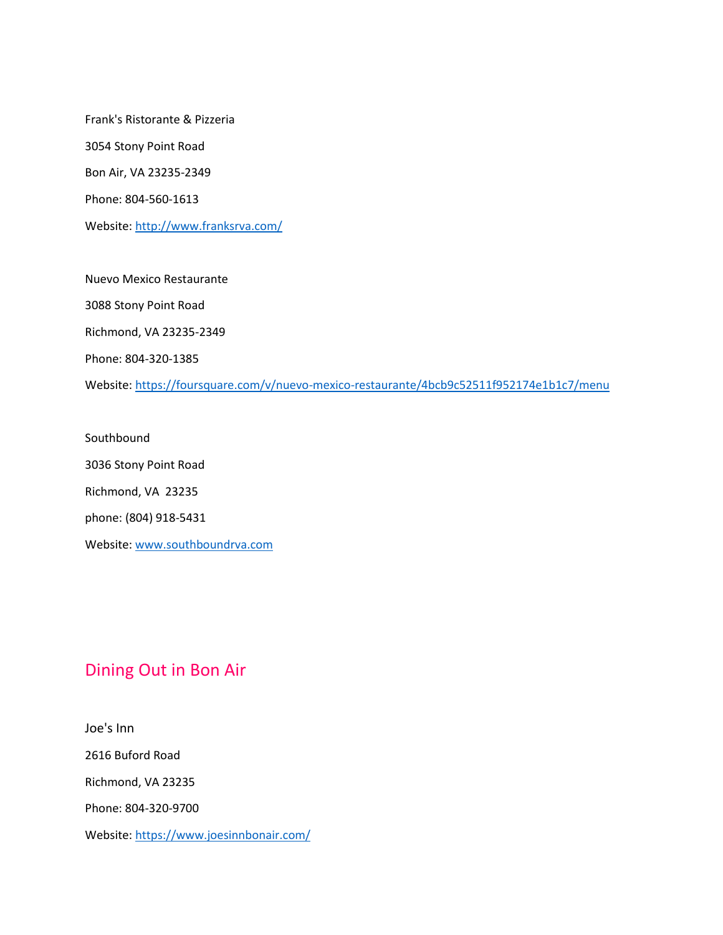Frank's Ristorante & Pizzeria 3054 Stony Point Road Bon Air, VA 23235-2349 Phone: 804-560-1613 Website[: http://www.franksrva.com/](http://www.franksrva.com/)

Nuevo Mexico Restaurante 3088 Stony Point Road Richmond, VA 23235-2349 Phone: 804-320-1385 Website[: https://foursquare.com/v/nuevo-mexico-restaurante/4bcb9c52511f952174e1b1c7/menu](https://foursquare.com/v/nuevo-mexico-restaurante/4bcb9c52511f952174e1b1c7/menu)

Southbound 3036 Stony Point Road Richmond, VA 23235 phone: (804) 918-5431 Website[: www.southboundrva.com](http://www.southboundrva.com/)

# Dining Out in Bon Air

Joe's Inn 2616 Buford Road Richmond, VA 23235 Phone: 804-320-9700 Website[: https://www.joesinnbonair.com/](https://www.joesinnbonair.com/)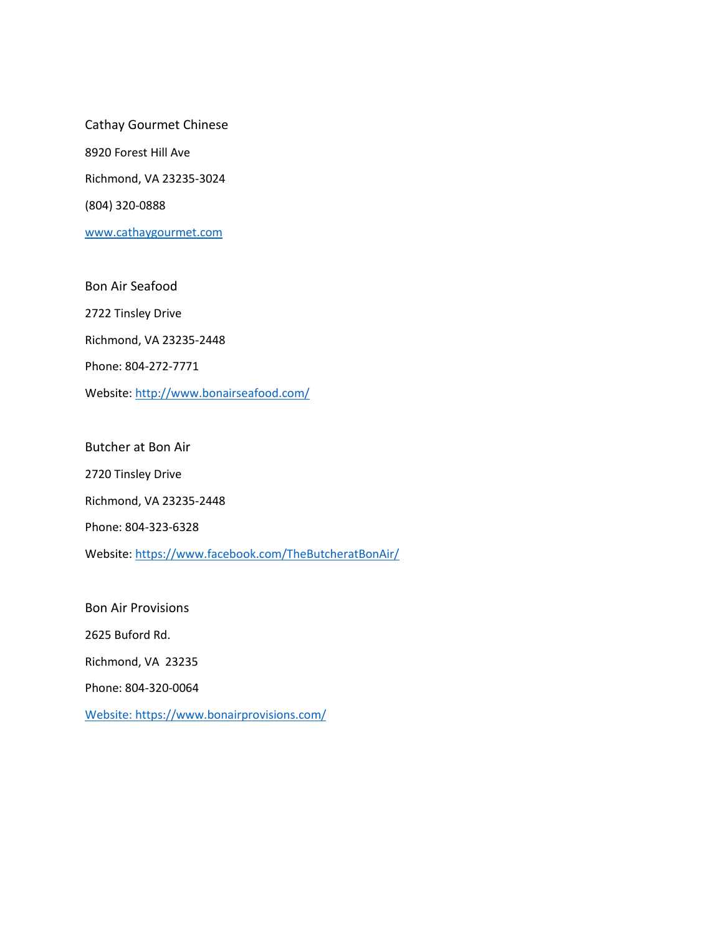Cathay Gourmet Chinese 8920 Forest Hill Ave Richmond, VA 23235-3024 (804) 320-0888 [www.cathaygourmet.com](http://www.cathaygourmet.com/)

Bon Air Seafood 2722 Tinsley Drive Richmond, VA 23235-2448 Phone: 804-272-7771 Website[: http://www.bonairseafood.com/](http://www.bonairseafood.com/)

Butcher at Bon Air 2720 Tinsley Drive Richmond, VA 23235-2448 Phone: 804-323-6328 Website[: https://www.facebook.com/TheButcheratBonAir/](https://www.facebook.com/TheButcheratBonAir/)

Bon Air Provisions 2625 Buford Rd. Richmond, VA 23235 Phone: 804-320-0064 Website: <https://www.bonairprovisions.com/>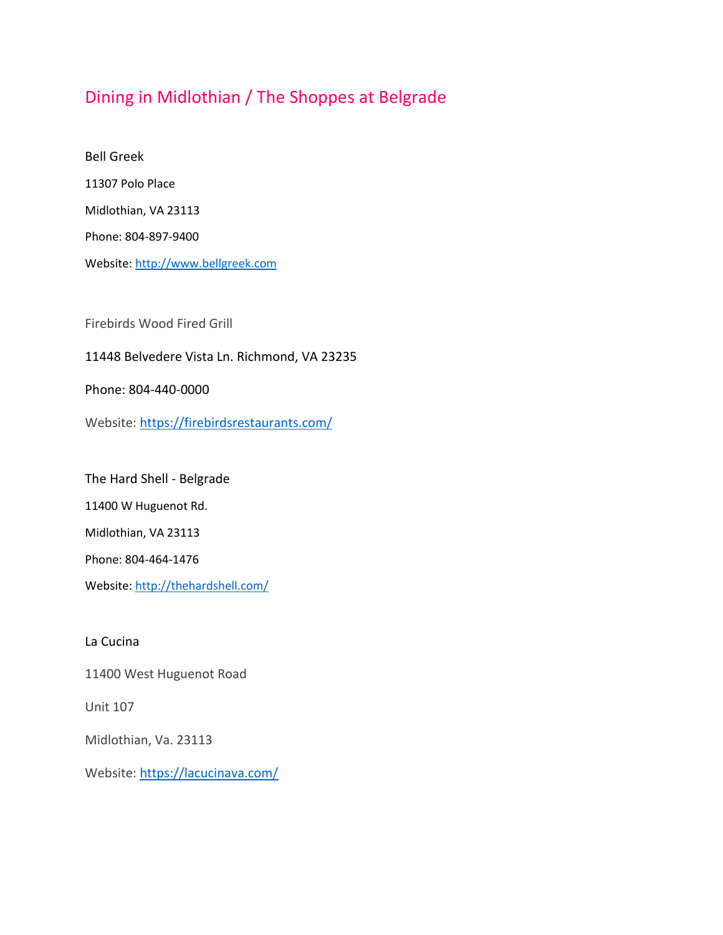# Dining in Midlothian / The Shoppes at Belgrade

Bell Greek 11307 Polo Place Midlothian, VA 23113 Phone: 804-897-9400 Website[: http://www.bellgreek.com](http://www.bellgreek.com/)

Firebirds Wood Fired Grill

### [11448 Belvedere Vista Ln. Richmond, VA 23235](https://www.google.com/maps?saddr=My+Location&daddr=37.521288+-77.60772700000001)

Phone: [804-440-0000](tel:+1%208044400000)

Website:<https://firebirdsrestaurants.com/>

The Hard Shell - Belgrade

11400 W Huguenot Rd.

Midlothian, VA 23113

Phone: 804-464-1476

Website[: http://thehardshell.com/](http://thehardshell.com/)

La Cucina

11400 West Huguenot Road

Unit 107

Midlothian, Va. 23113

Website: <https://lacucinava.com/>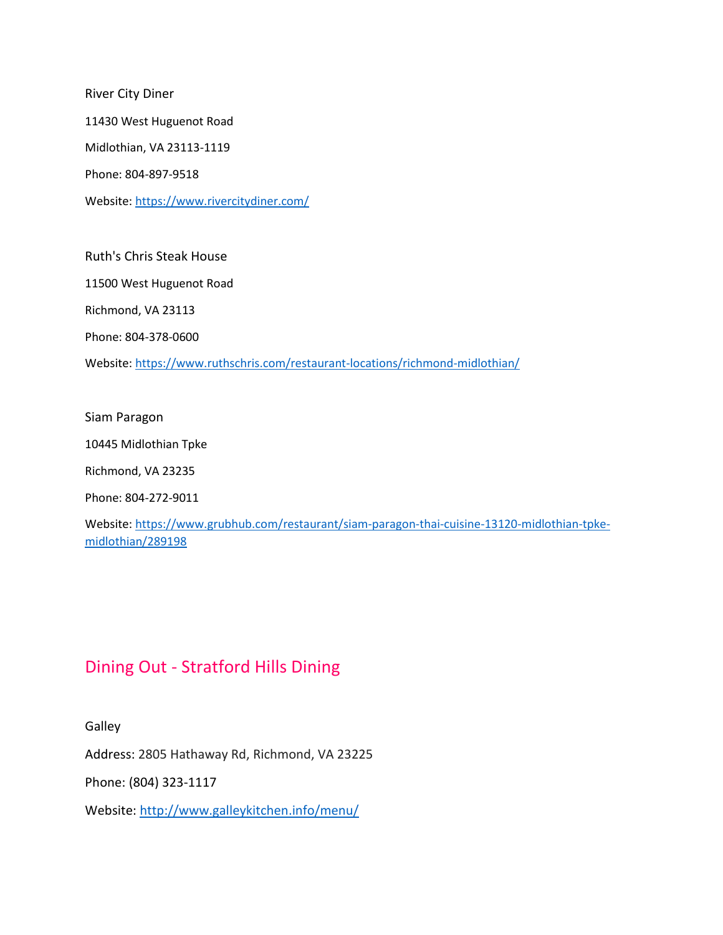River City Diner 11430 West Huguenot Road Midlothian, VA 23113-1119 Phone: 804-897-9518 Website[: https://www.rivercitydiner.com/](https://www.rivercitydiner.com/)

Ruth's Chris Steak House 11500 West Huguenot Road Richmond, VA 23113 Phone: 804-378-0600 Website[: https://www.ruthschris.com/restaurant-locations/richmond-midlothian/](https://www.ruthschris.com/restaurant-locations/richmond-midlothian/)

Siam Paragon

10445 Midlothian Tpke

Richmond, VA 23235

Phone: 804-272-9011

Website[: https://www.grubhub.com/restaurant/siam-paragon-thai-cuisine-13120-midlothian-tpke](https://www.grubhub.com/restaurant/siam-paragon-thai-cuisine-13120-midlothian-tpke-midlothian/289198)[midlothian/289198](https://www.grubhub.com/restaurant/siam-paragon-thai-cuisine-13120-midlothian-tpke-midlothian/289198)

### Dining Out - Stratford Hills Dining

Galley

[Address:](https://www.google.com/search?rlz=1C1CHZL_enUS728US728&site=async/lcl_akp&q=galley+stratford+hills+shopping+center+address&stick=H4sIAAAAAAAAAOPgE-LRT9c3NMrIK84yNM7Tks1OttLPyU9OLMnMz4MzrBJTUopSi4sBRC_PkC8AAAA&sa=X&ved=2ahUKEwjLpcaRjPnbAhUkp1kKHUqaCcoQ6BMwBXoECAEQJw) 2805 Hathaway Rd, Richmond, VA 23225

Phone: [\(804\) 323-1117](https://www.google.com/search?rlz=1C1CHZL_enUS728US728&ei=70I2W4nQGYq1zwKap7aIAg&q=restaurants%20stratford%20hills%20richmond%20va&oq=dining+at+stratford+hill&gs_l=psy-ab.1.0.0i22i30k1.3150.15510.0.20179.32.28.4.0.0.0.117.2443.25j3.28.0....0...1.1.64.psy-ab..0.32.2465...0j0i67k1j0i131k1j0i131i67k1j0i13i30k1j0i8i13i30k1.0.evEi09-3Cb8&npsic=0&rflfq=1&rlha=0&rllag=37538793,-77518653,76&tbm=lcl&rldimm=13207350681080821511&ved=0ahUKEwjzwIuFjPnbAhWSuFMKHUcFAx0QvS4IXjAA&rldoc=1&tbs=lrf:!2m1!1e2!2m1!1e5!2m1!1e1!2m1!1e3!3sIAE,lf:1,lf_ui:9)

Website:<http://www.galleykitchen.info/menu/>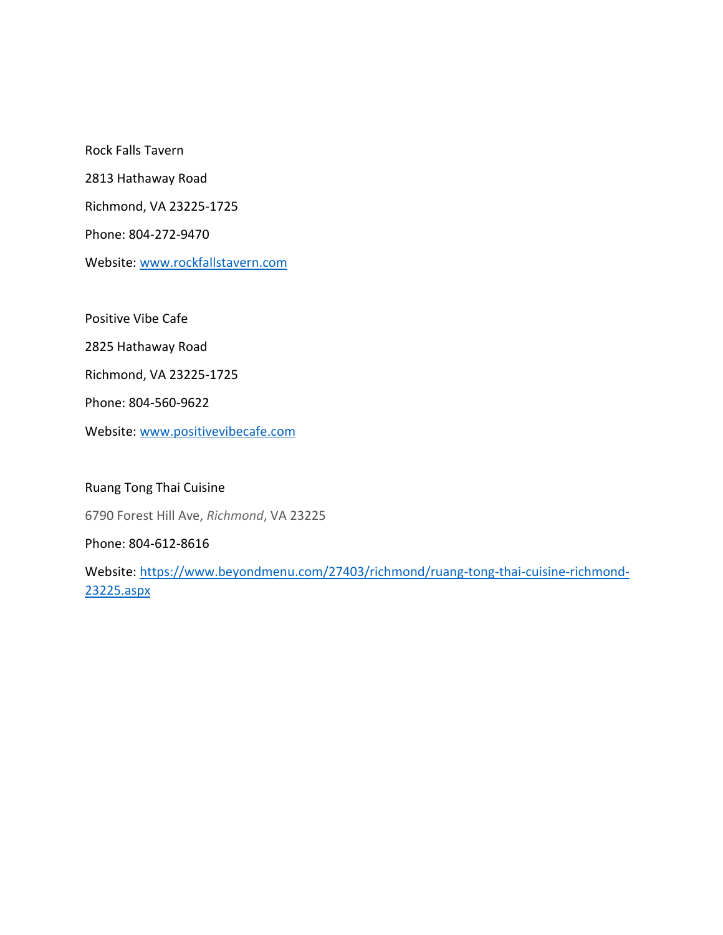Rock Falls Tavern 2813 Hathaway Road Richmond, VA 23225-1725 Phone: 804-272-9470 Website: [www.rockfallstavern.com](http://www.rockfallstavern.com/) Positive Vibe Cafe

2825 Hathaway Road

Richmond, VA 23225-1725

Phone: 804-560-9622

Website: [www.positivevibecafe.com](http://www.positivevibecafe.com/)

### Ruang Tong Thai Cuisine

6790 Forest Hill Ave, *Richmond*, VA 23225

#### Phone: 804-612-8616

Website: [https://www.beyondmenu.com/27403/richmond/ruang-tong-thai-cuisine-richmond-](https://www.beyondmenu.com/27403/richmond/ruang-tong-thai-cuisine-richmond-23225.aspx)[23225.aspx](https://www.beyondmenu.com/27403/richmond/ruang-tong-thai-cuisine-richmond-23225.aspx)